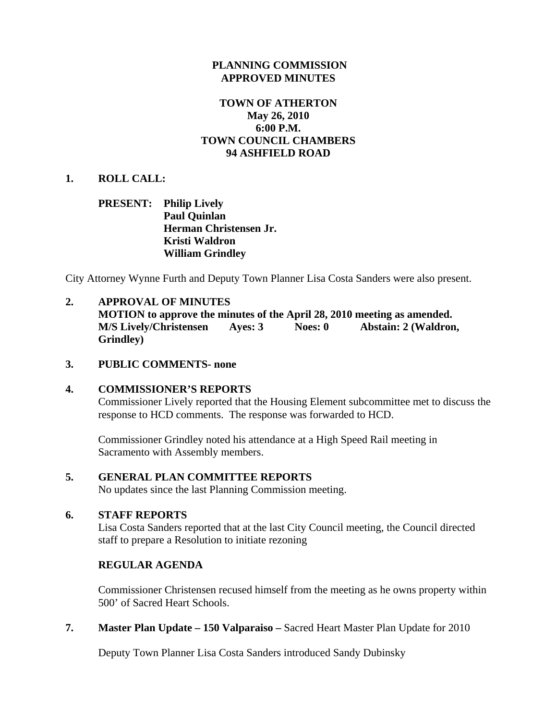# **PLANNING COMMISSION APPROVED MINUTES**

# **TOWN OF ATHERTON May 26, 2010 6:00 P.M. TOWN COUNCIL CHAMBERS 94 ASHFIELD ROAD**

## **1. ROLL CALL:**

# **PRESENT: Philip Lively Paul Quinlan Herman Christensen Jr. Kristi Waldron William Grindley**

City Attorney Wynne Furth and Deputy Town Planner Lisa Costa Sanders were also present.

# **2. APPROVAL OF MINUTES**

**MOTION to approve the minutes of the April 28, 2010 meeting as amended. M/S Lively/Christensen Ayes: 3 Noes: 0 Abstain: 2 (Waldron, Grindley)** 

### **3. PUBLIC COMMENTS- none**

### **4. COMMISSIONER'S REPORTS**

Commissioner Lively reported that the Housing Element subcommittee met to discuss the response to HCD comments. The response was forwarded to HCD.

Commissioner Grindley noted his attendance at a High Speed Rail meeting in Sacramento with Assembly members.

### **5. GENERAL PLAN COMMITTEE REPORTS**

No updates since the last Planning Commission meeting.

# **6. STAFF REPORTS**

Lisa Costa Sanders reported that at the last City Council meeting, the Council directed staff to prepare a Resolution to initiate rezoning

### **REGULAR AGENDA**

Commissioner Christensen recused himself from the meeting as he owns property within 500' of Sacred Heart Schools.

**7. Master Plan Update – 150 Valparaiso –** Sacred Heart Master Plan Update for 2010

Deputy Town Planner Lisa Costa Sanders introduced Sandy Dubinsky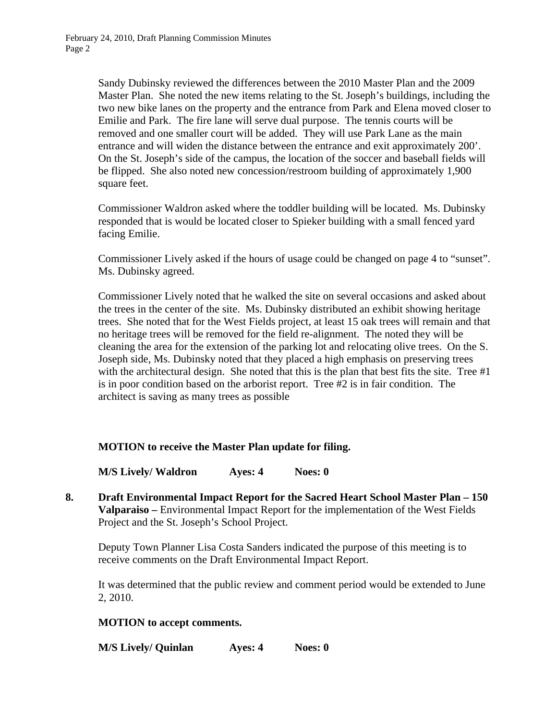Sandy Dubinsky reviewed the differences between the 2010 Master Plan and the 2009 Master Plan. She noted the new items relating to the St. Joseph's buildings, including the two new bike lanes on the property and the entrance from Park and Elena moved closer to Emilie and Park. The fire lane will serve dual purpose. The tennis courts will be removed and one smaller court will be added. They will use Park Lane as the main entrance and will widen the distance between the entrance and exit approximately 200'. On the St. Joseph's side of the campus, the location of the soccer and baseball fields will be flipped. She also noted new concession/restroom building of approximately 1,900 square feet.

Commissioner Waldron asked where the toddler building will be located. Ms. Dubinsky responded that is would be located closer to Spieker building with a small fenced yard facing Emilie.

Commissioner Lively asked if the hours of usage could be changed on page 4 to "sunset". Ms. Dubinsky agreed.

Commissioner Lively noted that he walked the site on several occasions and asked about the trees in the center of the site. Ms. Dubinsky distributed an exhibit showing heritage trees. She noted that for the West Fields project, at least 15 oak trees will remain and that no heritage trees will be removed for the field re-alignment. The noted they will be cleaning the area for the extension of the parking lot and relocating olive trees. On the S. Joseph side, Ms. Dubinsky noted that they placed a high emphasis on preserving trees with the architectural design. She noted that this is the plan that best fits the site. Tree #1 is in poor condition based on the arborist report. Tree #2 is in fair condition. The architect is saving as many trees as possible

# **MOTION to receive the Master Plan update for filing.**

**M/S Lively/ Waldron Ayes: 4 Noes: 0** 

**8. Draft Environmental Impact Report for the Sacred Heart School Master Plan – 150 Valparaiso –** Environmental Impact Report for the implementation of the West Fields Project and the St. Joseph's School Project.

Deputy Town Planner Lisa Costa Sanders indicated the purpose of this meeting is to receive comments on the Draft Environmental Impact Report.

It was determined that the public review and comment period would be extended to June 2, 2010.

### **MOTION to accept comments.**

**M/S Lively/ Quinlan Ayes: 4 Noes: 0**